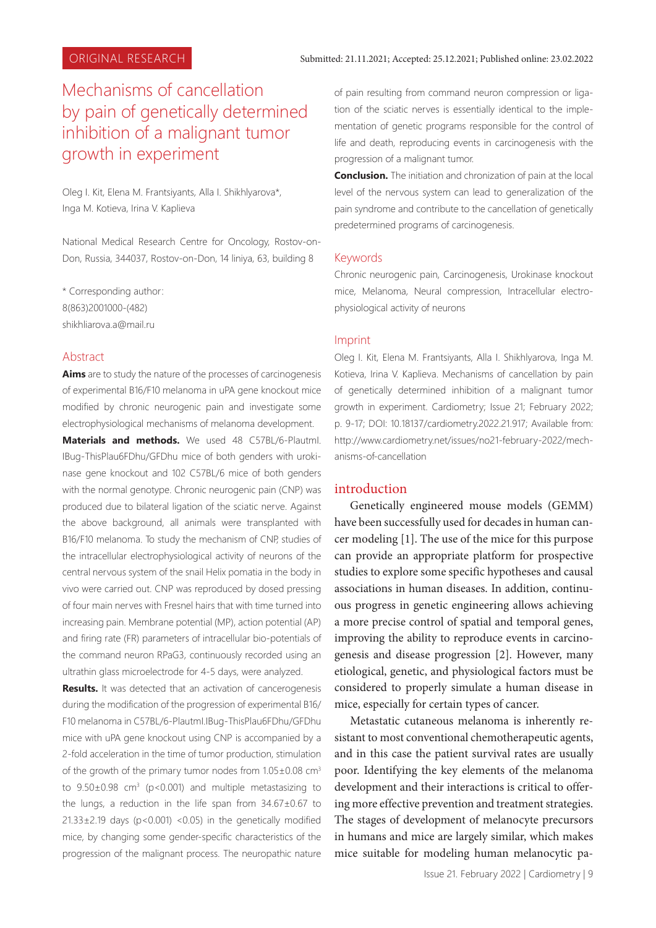# Mechanisms of cancellation by pain of genetically determined inhibition of a malignant tumor growth in experiment

Oleg I. Kit, Elena M. Frantsiyants, Alla I. Shikhlyarova\*, Inga M. Kotieva, Irina V. Kaplieva

National Medical Research Centre for Oncology, Rostov-on-Don, Russia, 344037, Rostov-on-Don, 14 liniya, 63, building 8

\* Corresponding author: 8(863)2001000-(482) shikhliarova.a@mail.ru

### Abstract

**Aims** are to study the nature of the processes of carcinogenesis of experimental B16/F10 melanoma in uPA gene knockout mice modified by chronic neurogenic pain and investigate some electrophysiological mechanisms of melanoma development.

**Materials and methods.** We used 48 C57BL/6-PlautmI. IBug-ThisPlau6FDhu/GFDhu mice of both genders with urokinase gene knockout and 102 C57BL/6 mice of both genders with the normal genotype. Chronic neurogenic pain (CNP) was produced due to bilateral ligation of the sciatic nerve. Against the above background, all animals were transplanted with B16/F10 melanoma. To study the mechanism of CNP, studies of the intracellular electrophysiological activity of neurons of the central nervous system of the snail Helix pomatia in the body in vivo were carried out. CNP was reproduced by dosed pressing of four main nerves with Fresnel hairs that with time turned into increasing pain. Membrane potential (MP), action potential (AP) and firing rate (FR) parameters of intracellular bio-potentials of the command neuron RPaG3, continuously recorded using an ultrathin glass microelectrode for 4-5 days, were analyzed.

**Results.** It was detected that an activation of cancerogenesis during the modification of the progression of experimental B16/ F10 melanoma in C57BL/6-PlautmI.IBug-ThisPlau6FDhu/GFDhu mice with uPA gene knockout using CNP is accompanied by a 2-fold acceleration in the time of tumor production, stimulation of the growth of the primary tumor nodes from  $1.05\pm0.08$  cm<sup>3</sup> to  $9.50\pm0.98$  cm<sup>3</sup> (p<0.001) and multiple metastasizing to the lungs, a reduction in the life span from 34.67±0.67 to  $21.33\pm2.19$  days (p<0.001) <0.05) in the genetically modified mice, by changing some gender-specific characteristics of the progression of the malignant process. The neuropathic nature

of pain resulting from command neuron compression or ligation of the sciatic nerves is essentially identical to the implementation of genetic programs responsible for the control of life and death, reproducing events in carcinogenesis with the progression of a malignant tumor.

**Conclusion.** The initiation and chronization of pain at the local level of the nervous system can lead to generalization of the pain syndrome and contribute to the cancellation of genetically predetermined programs of carcinogenesis.

#### Keywords

Chronic neurogenic pain, Carcinogenesis, Urokinase knockout mice, Melanoma, Neural compression, Intracellular electrophysiological activity of neurons

#### Imprint

Oleg I. Kit, Elena M. Frantsiyants, Alla I. Shikhlyarova, Inga M. Kotieva, Irina V. Kaplieva. Mechanisms of cancellation by pain of genetically determined inhibition of a malignant tumor growth in experiment. Cardiometry; Issue 21; February 2022; p. 9-17; DOI: 10.18137/cardiometry.2022.21.917; Available from: http://www.cardiometry.net/issues/no21-february-2022/mechanisms-of-cancellation

### introduction

Genetically engineered mouse models (GEMM) have been successfully used for decades in human cancer modeling [1]. The use of the mice for this purpose can provide an appropriate platform for prospective studies to explore some specific hypotheses and causal associations in human diseases. In addition, continuous progress in genetic engineering allows achieving a more precise control of spatial and temporal genes, improving the ability to reproduce events in carcinogenesis and disease progression [2]. However, many etiological, genetic, and physiological factors must be considered to properly simulate a human disease in mice, especially for certain types of cancer.

Metastatic cutaneous melanoma is inherently resistant to most conventional chemotherapeutic agents, and in this case the patient survival rates are usually poor. Identifying the key elements of the melanoma development and their interactions is critical to offering more effective prevention and treatment strategies. The stages of development of melanocyte precursors in humans and mice are largely similar, which makes mice suitable for modeling human melanocytic pa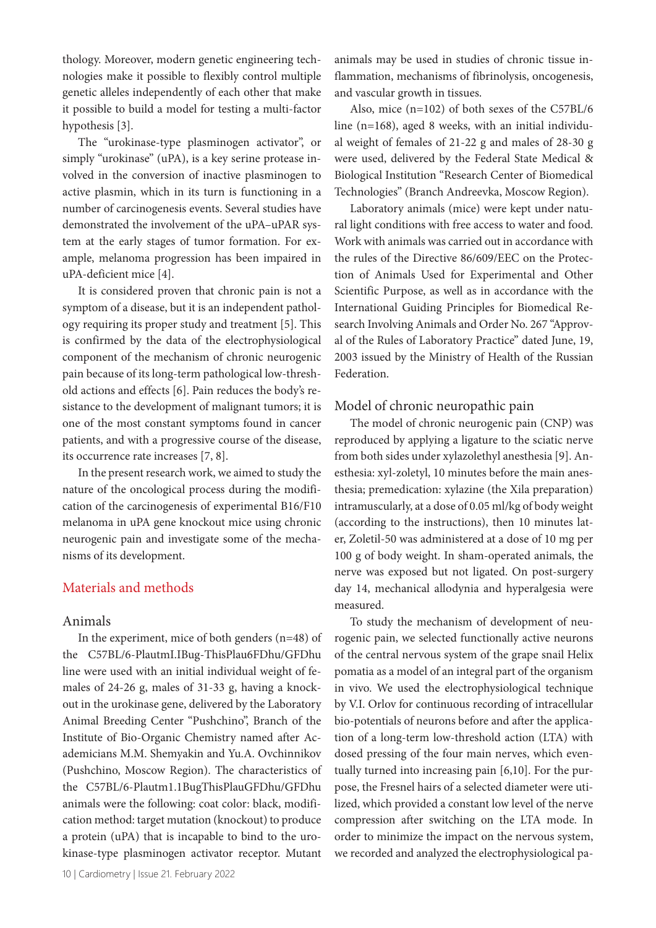thology. Moreover, modern genetic engineering technologies make it possible to flexibly control multiple genetic alleles independently of each other that make it possible to build a model for testing a multi-factor hypothesis [3].

The "urokinase-type plasminogen activator", or simply "urokinase" (uPA), is a key serine protease involved in the conversion of inactive plasminogen to active plasmin, which in its turn is functioning in a number of carcinogenesis events. Several studies have demonstrated the involvement of the uPA–uPAR system at the early stages of tumor formation. For example, melanoma progression has been impaired in uPA-deficient mice [4].

It is considered proven that chronic pain is not a symptom of a disease, but it is an independent pathology requiring its proper study and treatment [5]. This is confirmed by the data of the electrophysiological component of the mechanism of chronic neurogenic pain because of its long-term pathological low-threshold actions and effects [6]. Pain reduces the body's resistance to the development of malignant tumors; it is one of the most constant symptoms found in cancer patients, and with a progressive course of the disease, its occurrence rate increases [7, 8].

In the present research work, we aimed to study the nature of the oncological process during the modification of the carcinogenesis of experimental B16/F10 melanoma in uPA gene knockout mice using chronic neurogenic pain and investigate some of the mechanisms of its development.

# Materials and methods

### Animals

In the experiment, mice of both genders (n=48) of the C57BL/6-PlautmI.IBug-ThisPlau6FDhu/GFDhu line were used with an initial individual weight of females of 24-26 g, males of 31-33 g, having a knockout in the urokinase gene, delivered by the Laboratory Animal Breeding Center "Pushchino", Branch of the Institute of Bio-Organic Chemistry named after Academicians M.M. Shemyakin and Yu.A. Ovchinnikov (Pushchino, Moscow Region). The characteristics of the C57BL/6-Plautm1.1BugThisPlauGFDhu/GFDhu animals were the following: coat color: black, modification method: target mutation (knockout) to produce a protein (uPA) that is incapable to bind to the urokinase-type plasminogen activator receptor. Mutant

animals may be used in studies of chronic tissue inflammation, mechanisms of fibrinolysis, oncogenesis, and vascular growth in tissues.

Also, mice (n=102) of both sexes of the C57BL/6 line (n=168), aged 8 weeks, with an initial individual weight of females of 21-22 g and males of 28-30 g were used, delivered by the Federal State Medical & Biological Institution "Research Center of Biomedical Technologies" (Branch Andreevka, Moscow Region).

Laboratory animals (mice) were kept under natural light conditions with free access to water and food. Work with animals was carried out in accordance with the rules of the Directive 86/609/EEC on the Protection of Animals Used for Experimental and Other Scientific Purpose, as well as in accordance with the International Guiding Principles for Biomedical Research Involving Animals and Order No. 267 "Approval of the Rules of Laboratory Practice" dated June, 19, 2003 issued by the Ministry of Health of the Russian Federation.

### Model of chronic neuropathic pain

The model of chronic neurogenic pain (CNP) was reproduced by applying a ligature to the sciatic nerve from both sides under xylazolethyl anesthesia [9]. Anesthesia: xyl-zoletyl, 10 minutes before the main anesthesia; premedication: xylazine (the Xila preparation) intramuscularly, at a dose of 0.05 ml/kg of body weight (according to the instructions), then 10 minutes later, Zoletil-50 was administered at a dose of 10 mg per 100 g of body weight. In sham-operated animals, the nerve was exposed but not ligated. On post-surgery day 14, mechanical allodynia and hyperalgesia were measured.

To study the mechanism of development of neurogenic pain, we selected functionally active neurons of the central nervous system of the grape snail Helix pomatia as a model of an integral part of the organism in vivo. We used the electrophysiological technique by V.I. Orlov for continuous recording of intracellular bio-potentials of neurons before and after the application of a long-term low-threshold action (LTA) with dosed pressing of the four main nerves, which eventually turned into increasing pain [6,10]. For the purpose, the Fresnel hairs of a selected diameter were utilized, which provided a constant low level of the nerve compression after switching on the LTA mode. In order to minimize the impact on the nervous system, we recorded and analyzed the electrophysiological pa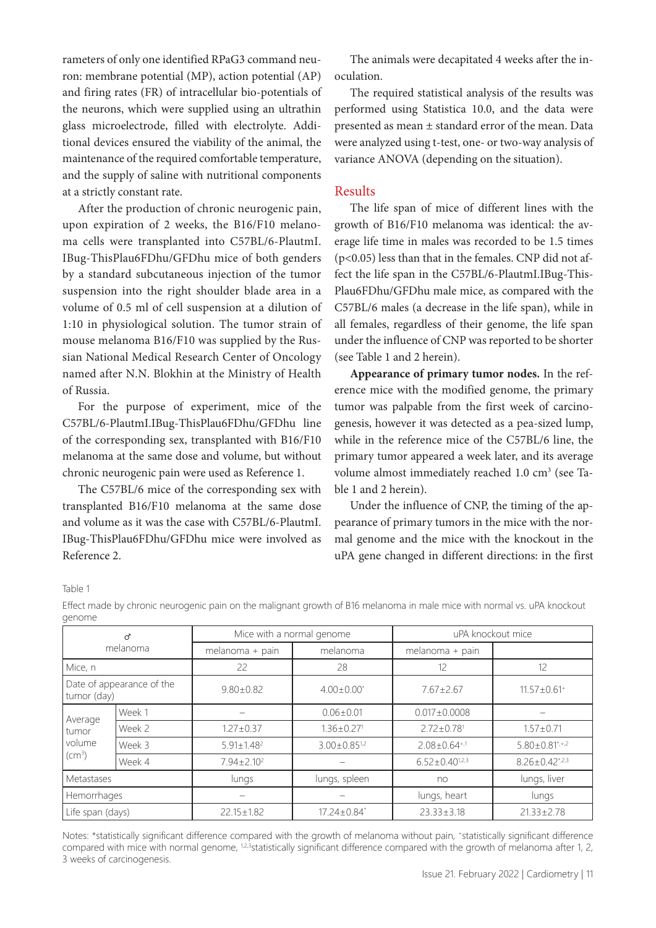rameters of only one identified RPaG3 command neuron: membrane potential (MP), action potential (AP) and firing rates (FR) of intracellular bio-potentials of the neurons, which were supplied using an ultrathin glass microelectrode, filled with electrolyte. Additional devices ensured the viability of the animal, the maintenance of the required comfortable temperature, and the supply of saline with nutritional components at a strictly constant rate.

After the production of chronic neurogenic pain, upon expiration of 2 weeks, the B16/F10 melanoma cells were transplanted into C57BL/6-PlautmI. IBug-ThisPlau6FDhu/GFDhu mice of both genders by a standard subcutaneous injection of the tumor suspension into the right shoulder blade area in a volume of 0.5 ml of cell suspension at a dilution of 1:10 in physiological solution. The tumor strain of mouse melanoma B16/F10 was supplied by the Russian National Medical Research Center of Oncology named after N.N. Blokhin at the Ministry of Health of Russia.

For the purpose of experiment, mice of the C57BL/6-PlautmI.IBug-ThisPlau6FDhu/GFDhu line of the corresponding sex, transplanted with B16/F10 melanoma at the same dose and volume, but without chronic neurogenic pain were used as Reference 1.

The C57BL/6 mice of the corresponding sex with transplanted B16/F10 melanoma at the same dose and volume as it was the case with C57BL/6-PlautmI. IBug-ThisPlau6FDhu/GFDhu mice were involved as Reference 2.

The animals were decapitated 4 weeks after the inoculation.

The required statistical analysis of the results was performed using Statistica 10.0, and the data were presented as mean ± standard error of the mean. Data were analyzed using t-test, one- or two-way analysis of variance ANOVA (depending on the situation).

### Results

The life span of mice of different lines with the growth of B16/F10 melanoma was identical: the average life time in males was recorded to be 1.5 times (p<0.05) less than that in the females. CNP did not affect the life span in the C57BL/6-PlautmI.IBug-This-Plau6FDhu/GFDhu male mice, as compared with the C57BL/6 males (a decrease in the life span), while in all females, regardless of their genome, the life span under the influence of CNP was reported to be shorter (see Table 1 and 2 herein).

**Appearance of primary tumor nodes.** In the reference mice with the modified genome, the primary tumor was palpable from the first week of carcinogenesis, however it was detected as a pea-sized lump, while in the reference mice of the C57BL/6 line, the primary tumor appeared a week later, and its average volume almost immediately reached 1.0 cm<sup>3</sup> (see Table 1 and 2 herein).

Under the influence of CNP, the timing of the appearance of primary tumors in the mice with the normal genome and the mice with the knockout in the uPA gene changed in different directions: in the first

Table 1

Effect made by chronic neurogenic pain on the malignant growth of B16 melanoma in male mice with normal vs. uPA knockout genome

| ď<br>melanoma                                            |        | Mice with a normal genome |                               | uPA knockout mice              |                               |
|----------------------------------------------------------|--------|---------------------------|-------------------------------|--------------------------------|-------------------------------|
|                                                          |        | melanoma + pain           | melanoma                      | melanoma + pain                |                               |
| Mice, n                                                  |        | 22                        | 28                            | 12                             | 12                            |
| Date of appearance of the<br>tumor (day)                 |        | $9.80 \pm 0.82$           | $4.00 \pm 0.00^*$             | $7.67 \pm 2.67$                | $11.57 \pm 0.61$ <sup>+</sup> |
| Average<br>tumor<br>volume<br>$\left(\text{cm}^3\right)$ | Week 1 |                           | $0.06 \pm 0.01$               | $0.017 \pm 0.0008$             |                               |
|                                                          | Week 2 | $1.27 \pm 0.37$           | $1.36 \pm 0.27$ <sup>1</sup>  | $2.72 + 0.78$ <sup>1</sup>     | $1.57 \pm 0.71$               |
|                                                          | Week 3 | $5.91 \pm 1.48^2$         | $3.00 \pm 0.85^{1/2}$         | $2.08 \pm 0.64$ <sup>+,1</sup> | $5.80 \pm 0.81^{\star,+2}$    |
|                                                          | Week 4 | $7.94 \pm 2.10^2$         |                               | $6.52 \pm 0.40^{1,2,3}$        | $8.26 \pm 0.42^{\star,2.3}$   |
| Metastases                                               |        | lungs                     | lungs, spleen                 | no                             | lungs, liver                  |
| Hemorrhages                                              |        |                           |                               | lungs, heart                   | lungs                         |
| Life span (days)                                         |        | $22.15 \pm 1.82$          | $17.24 \pm 0.84$ <sup>*</sup> | $23.33 \pm 3.18$               | $21.33 \pm 2.78$              |

Notes: \*statistically significant difference compared with the growth of melanoma without pain, +statistically significant difference compared with mice with normal genome, <sup>1,2,3</sup>statistically significant difference compared with the growth of melanoma after 1, 2, 3 weeks of carcinogenesis.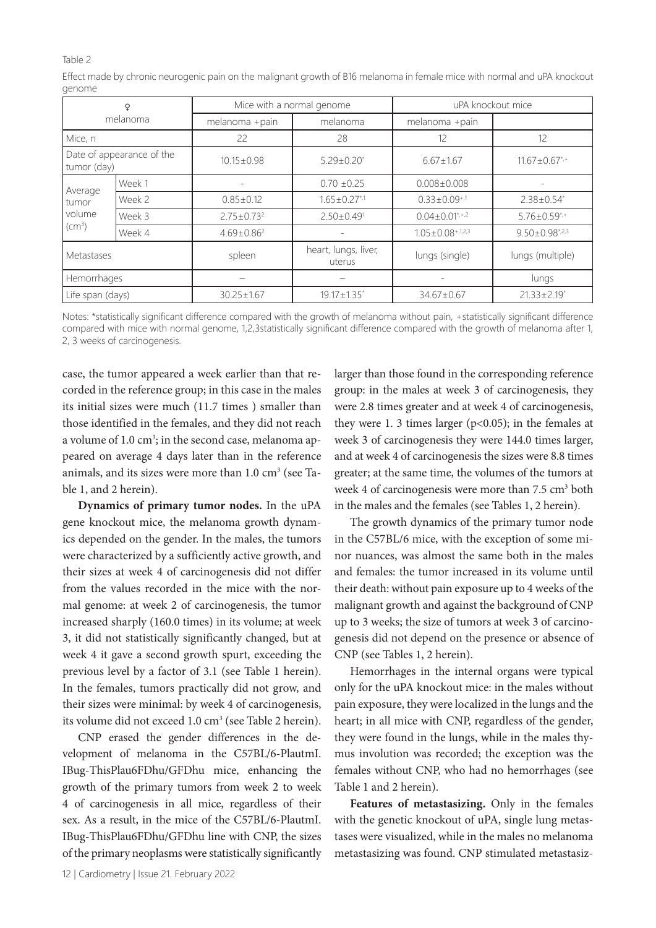#### Table 2

Effect made by chronic neurogenic pain on the malignant growth of B16 melanoma in female mice with normal and uPA knockout genome

| Q<br>melanoma                                        |        | Mice with a normal genome |                                | uPA knockout mice                  |                                              |
|------------------------------------------------------|--------|---------------------------|--------------------------------|------------------------------------|----------------------------------------------|
|                                                      |        | melanoma +pain            | melanoma                       | melanoma +pain                     |                                              |
| Mice, n                                              |        | 22                        | 28                             | 12                                 | 12                                           |
| Date of appearance of the<br>tumor (day)             |        | $10.15 \pm 0.98$          | $5.29 \pm 0.20^*$              | $6.67 \pm 1.67$                    | $11.67 \pm 0.67$ <sup>*</sup> / <sup>*</sup> |
| Average<br>tumor<br>volume<br>$\text{(cm}^3\text{)}$ | Week 1 |                           | $0.70 \pm 0.25$                | $0.008 \pm 0.008$                  |                                              |
|                                                      | Week 2 | $0.85 \pm 0.12$           | $1.65 \pm 0.27$ <sup>*,1</sup> | $0.33 \pm 0.09^{+.1}$              | $2.38 \pm 0.54^*$                            |
|                                                      | Week 3 | $2.75 \pm 0.73^2$         | $2.50 \pm 0.49$ <sup>1</sup>   | $0.04 \pm 0.01^{*,+,2}$            | $5.76 \pm 0.59$ */*                          |
|                                                      | Week 4 | $4.69 \pm 0.86^2$         | ۰                              | $1.05 \pm 0.08$ <sup>+,1,2,3</sup> | $9.50 \pm 0.98$ <sup>*,2,3</sup>             |
| Metastases                                           |        | spleen                    | heart, lungs, liver,<br>uterus | lungs (single)                     | lungs (multiple)                             |
| Hemorrhages                                          |        |                           |                                |                                    | lungs                                        |
| Life span (days)                                     |        | $30.25 \pm 1.67$          | $19.17 \pm 1.35$ <sup>*</sup>  | $34.67 \pm 0.67$                   | $21.33 \pm 2.19$ <sup>*</sup>                |

Notes: \*statistically significant difference compared with the growth of melanoma without pain, +statistically significant difference compared with mice with normal genome, 1,2,3statistically significant difference compared with the growth of melanoma after 1, 2, 3 weeks of carcinogenesis.

case, the tumor appeared a week earlier than that recorded in the reference group; in this case in the males its initial sizes were much (11.7 times ) smaller than those identified in the females, and they did not reach a volume of 1.0 cm<sup>3</sup>; in the second case, melanoma appeared on average 4 days later than in the reference animals, and its sizes were more than  $1.0 \text{ cm}^3$  (see Table 1, and 2 herein).

**Dynamics of primary tumor nodes.** In the uPA gene knockout mice, the melanoma growth dynamics depended on the gender. In the males, the tumors were characterized by a sufficiently active growth, and their sizes at week 4 of carcinogenesis did not differ from the values recorded in the mice with the normal genome: at week 2 of carcinogenesis, the tumor increased sharply (160.0 times) in its volume; at week 3, it did not statistically significantly changed, but at week 4 it gave a second growth spurt, exceeding the previous level by a factor of 3.1 (see Table 1 herein). In the females, tumors practically did not grow, and their sizes were minimal: by week 4 of carcinogenesis, its volume did not exceed  $1.0 \text{ cm}^3$  (see Table 2 herein).

CNP erased the gender differences in the development of melanoma in the C57BL/6-PlautmI. IBug-ThisPlau6FDhu/GFDhu mice, enhancing the growth of the primary tumors from week 2 to week 4 of carcinogenesis in all mice, regardless of their sex. As a result, in the mice of the C57BL/6-PlautmI. IBug-ThisPlau6FDhu/GFDhu line with CNP, the sizes of the primary neoplasms were statistically significantly

larger than those found in the corresponding reference group: in the males at week 3 of carcinogenesis, they were 2.8 times greater and at week 4 of carcinogenesis, they were 1. 3 times larger ( $p<0.05$ ); in the females at week 3 of carcinogenesis they were 144.0 times larger, and at week 4 of carcinogenesis the sizes were 8.8 times greater; at the same time, the volumes of the tumors at week 4 of carcinogenesis were more than 7.5 cm<sup>3</sup> both in the males and the females (see Tables 1, 2 herein).

The growth dynamics of the primary tumor node in the C57BL/6 mice, with the exception of some minor nuances, was almost the same both in the males and females: the tumor increased in its volume until their death: without pain exposure up to 4 weeks of the malignant growth and against the background of CNP up to 3 weeks; the size of tumors at week 3 of carcinogenesis did not depend on the presence or absence of CNP (see Tables 1, 2 herein).

Hemorrhages in the internal organs were typical only for the uPA knockout mice: in the males without pain exposure, they were localized in the lungs and the heart; in all mice with CNP, regardless of the gender, they were found in the lungs, while in the males thymus involution was recorded; the exception was the females without CNP, who had no hemorrhages (see Table 1 and 2 herein).

**Features of metastasizing.** Only in the females with the genetic knockout of uPA, single lung metastases were visualized, while in the males no melanoma metastasizing was found. CNP stimulated metastasiz-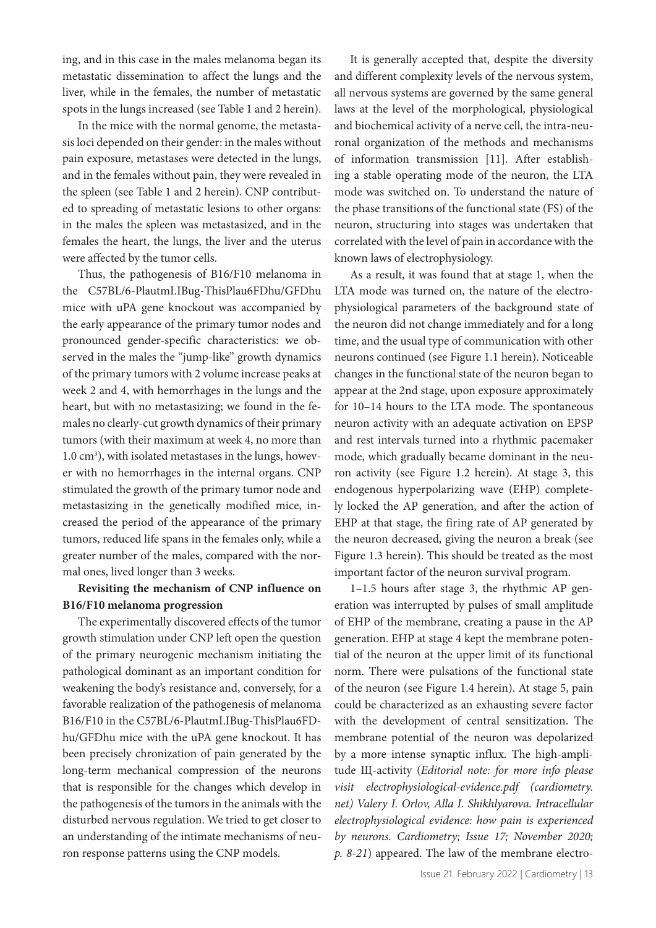ing, and in this case in the males melanoma began its metastatic dissemination to affect the lungs and the liver, while in the females, the number of metastatic spots in the lungs increased (see Table 1 and 2 herein).

In the mice with the normal genome, the metastasis loci depended on their gender: in the males without pain exposure, metastases were detected in the lungs, and in the females without pain, they were revealed in the spleen (see Table 1 and 2 herein). CNP contributed to spreading of metastatic lesions to other organs: in the males the spleen was metastasized, and in the females the heart, the lungs, the liver and the uterus were affected by the tumor cells.

Thus, the pathogenesis of B16/F10 melanoma in the C57BL/6-PlautmI.IBug-ThisPlau6FDhu/GFDhu mice with uPA gene knockout was accompanied by the early appearance of the primary tumor nodes and pronounced gender-specific characteristics: we observed in the males the "jump-like" growth dynamics of the primary tumors with 2 volume increase peaks at week 2 and 4, with hemorrhages in the lungs and the heart, but with no metastasizing; we found in the females no clearly-cut growth dynamics of their primary tumors (with their maximum at week 4, no more than 1.0 cm<sup>3</sup>), with isolated metastases in the lungs, however with no hemorrhages in the internal organs. CNP stimulated the growth of the primary tumor node and metastasizing in the genetically modified mice, increased the period of the appearance of the primary tumors, reduced life spans in the females only, while a greater number of the males, compared with the normal ones, lived longer than 3 weeks.

# **Revisiting the mechanism of CNP influence on B16/F10 melanoma progression**

The experimentally discovered effects of the tumor growth stimulation under CNP left open the question of the primary neurogenic mechanism initiating the pathological dominant as an important condition for weakening the body's resistance and, conversely, for a favorable realization of the pathogenesis of melanoma B16/F10 in the C57BL/6-PlautmI.IBug-ThisPlau6FDhu/GFDhu mice with the uPA gene knockout. It has been precisely chronization of pain generated by the long-term mechanical compression of the neurons that is responsible for the changes which develop in the pathogenesis of the tumors in the animals with the disturbed nervous regulation. We tried to get closer to an understanding of the intimate mechanisms of neuron response patterns using the CNP models.

It is generally accepted that, despite the diversity and different complexity levels of the nervous system, all nervous systems are governed by the same general laws at the level of the morphological, physiological and biochemical activity of a nerve cell, the intra-neuronal organization of the methods and mechanisms of information transmission [11]. After establishing a stable operating mode of the neuron, the LTA mode was switched on. To understand the nature of the phase transitions of the functional state (FS) of the neuron, structuring into stages was undertaken that correlated with the level of pain in accordance with the known laws of electrophysiology.

As a result, it was found that at stage 1, when the LTA mode was turned on, the nature of the electrophysiological parameters of the background state of the neuron did not change immediately and for a long time, and the usual type of communication with other neurons continued (see Figure 1.1 herein). Noticeable changes in the functional state of the neuron began to appear at the 2nd stage, upon exposure approximately for 10–14 hours to the LTA mode. The spontaneous neuron activity with an adequate activation on EPSP and rest intervals turned into a rhythmic pacemaker mode, which gradually became dominant in the neuron activity (see Figure 1.2 herein). At stage 3, this endogenous hyperpolarizing wave (EHP) completely locked the AP generation, and after the action of EHP at that stage, the firing rate of AP generated by the neuron decreased, giving the neuron a break (see Figure 1.3 herein). This should be treated as the most important factor of the neuron survival program.

1–1.5 hours after stage 3, the rhythmic AP generation was interrupted by pulses of small amplitude of EHP of the membrane, creating a pause in the AP generation. EHP at stage 4 kept the membrane potential of the neuron at the upper limit of its functional norm. There were pulsations of the functional state of the neuron (see Figure 1.4 herein). At stage 5, pain could be characterized as an exhausting severe factor with the development of central sensitization. The membrane potential of the neuron was depolarized by a more intense synaptic influx. The high-amplitude Щ-activity (*Editorial note: for more info please visit electrophysiological-evidence.pdf (cardiometry. net) Valery I. Orlov, Alla I. Shikhlyarova. Intracellular electrophysiological evidence: how pain is experienced by neurons. Cardiometry; Issue 17; November 2020; p. 8-21*) appeared. The law of the membrane electro-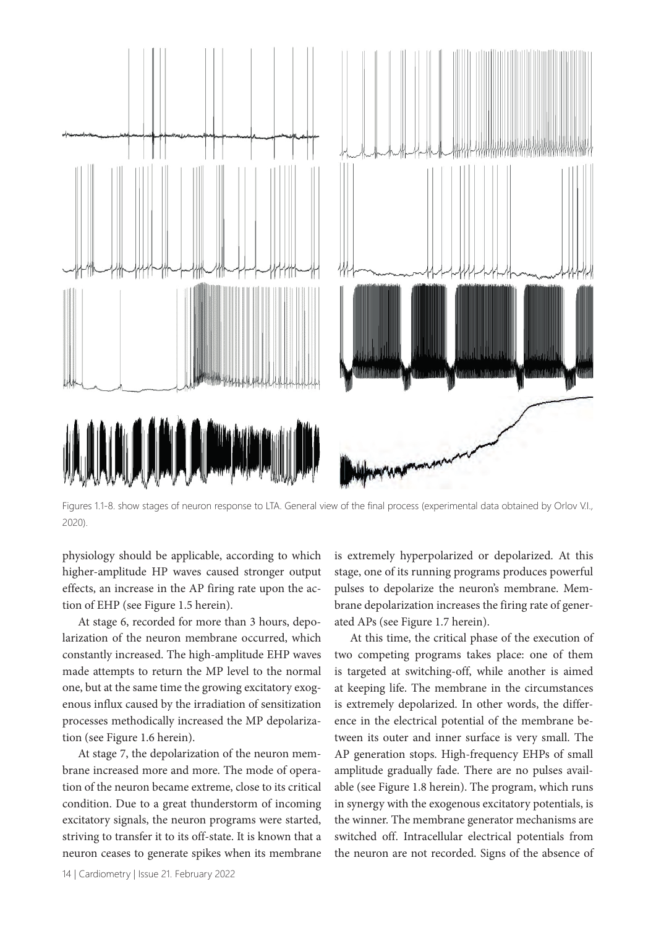

Figures 1.1-8. show stages of neuron response to LTA. General view of the final process (experimental data obtained by Orlov V.I., 2020).

physiology should be applicable, according to which higher-amplitude HP waves caused stronger output effects, an increase in the AP firing rate upon the action of EHP (see Figure 1.5 herein).

At stage 6, recorded for more than 3 hours, depolarization of the neuron membrane occurred, which constantly increased. The high-amplitude EHP waves made attempts to return the MP level to the normal one, but at the same time the growing excitatory exogenous influx caused by the irradiation of sensitization processes methodically increased the MP depolarization (see Figure 1.6 herein).

At stage 7, the depolarization of the neuron membrane increased more and more. The mode of operation of the neuron became extreme, close to its critical condition. Due to a great thunderstorm of incoming excitatory signals, the neuron programs were started, striving to transfer it to its off-state. It is known that a neuron ceases to generate spikes when its membrane

is extremely hyperpolarized or depolarized. At this stage, one of its running programs produces powerful pulses to depolarize the neuron's membrane. Membrane depolarization increases the firing rate of generated APs (see Figure 1.7 herein).

At this time, the critical phase of the execution of two competing programs takes place: one of them is targeted at switching-off, while another is aimed at keeping life. The membrane in the circumstances is extremely depolarized. In other words, the difference in the electrical potential of the membrane between its outer and inner surface is very small. The AP generation stops. High-frequency EHPs of small amplitude gradually fade. There are no pulses available (see Figure 1.8 herein). The program, which runs in synergy with the exogenous excitatory potentials, is the winner. The membrane generator mechanisms are switched off. Intracellular electrical potentials from the neuron are not recorded. Signs of the absence of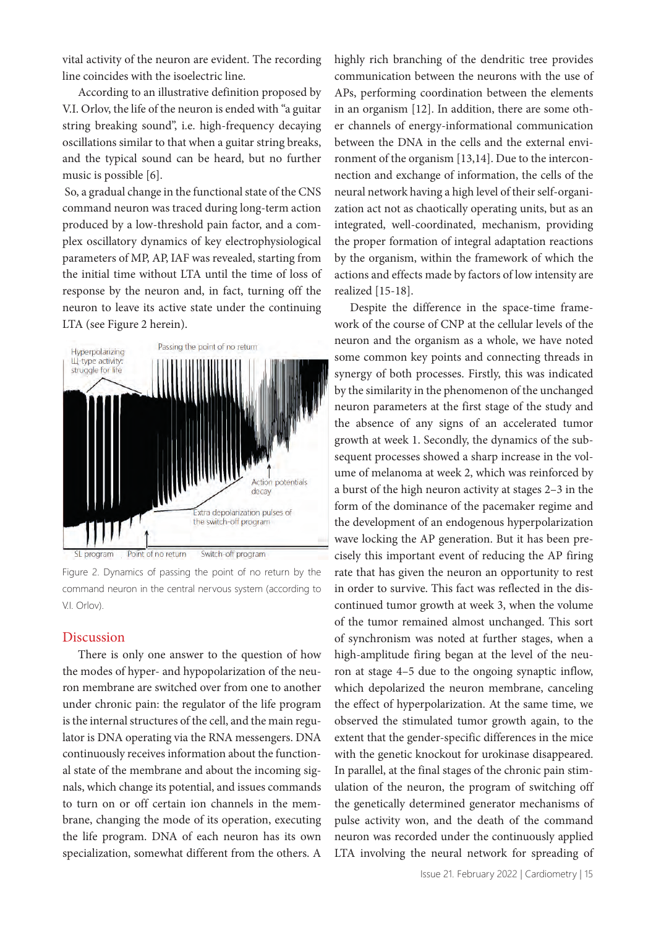vital activity of the neuron are evident. The recording line coincides with the isoelectric line.

According to an illustrative definition proposed by V.I. Orlov, the life of the neuron is ended with "a guitar string breaking sound", i.e. high-frequency decaying oscillations similar to that when a guitar string breaks, and the typical sound can be heard, but no further music is possible [6].

So, a gradual change in the functional state of the CNS command neuron was traced during long-term action produced by a low-threshold pain factor, and a complex oscillatory dynamics of key electrophysiological parameters of MP, AP, IAF was revealed, starting from the initial time without LTA until the time of loss of response by the neuron and, in fact, turning off the neuron to leave its active state under the continuing LTA (see Figure 2 herein).



SL program Point of no return Switch-off program

Figure 2. Dynamics of passing the point of no return by the command neuron in the central nervous system (according to V.I. Orlov).

### Discussion

There is only one answer to the question of how the modes of hyper- and hypopolarization of the neuron membrane are switched over from one to another under chronic pain: the regulator of the life program is the internal structures of the cell, and the main regulator is DNA operating via the RNA messengers. DNA continuously receives information about the functional state of the membrane and about the incoming signals, which change its potential, and issues commands to turn on or off certain ion channels in the membrane, changing the mode of its operation, executing the life program. DNA of each neuron has its own specialization, somewhat different from the others. A

highly rich branching of the dendritic tree provides communication between the neurons with the use of APs, performing coordination between the elements in an organism [12]. In addition, there are some other channels of energy-informational communication between the DNA in the cells and the external environment of the organism [13,14]. Due to the interconnection and exchange of information, the cells of the neural network having a high level of their self-organization act not as chaotically operating units, but as an integrated, well-coordinated, mechanism, providing the proper formation of integral adaptation reactions by the organism, within the framework of which the actions and effects made by factors of low intensity are realized [15-18].

Despite the difference in the space-time framework of the course of CNP at the cellular levels of the neuron and the organism as a whole, we have noted some common key points and connecting threads in synergy of both processes. Firstly, this was indicated by the similarity in the phenomenon of the unchanged neuron parameters at the first stage of the study and the absence of any signs of an accelerated tumor growth at week 1. Secondly, the dynamics of the subsequent processes showed a sharp increase in the volume of melanoma at week 2, which was reinforced by a burst of the high neuron activity at stages 2–3 in the form of the dominance of the pacemaker regime and the development of an endogenous hyperpolarization wave locking the AP generation. But it has been precisely this important event of reducing the AP firing rate that has given the neuron an opportunity to rest in order to survive. This fact was reflected in the discontinued tumor growth at week 3, when the volume of the tumor remained almost unchanged. This sort of synchronism was noted at further stages, when a high-amplitude firing began at the level of the neuron at stage 4–5 due to the ongoing synaptic inflow, which depolarized the neuron membrane, canceling the effect of hyperpolarization. At the same time, we observed the stimulated tumor growth again, to the extent that the gender-specific differences in the mice with the genetic knockout for urokinase disappeared. In parallel, at the final stages of the chronic pain stimulation of the neuron, the program of switching off the genetically determined generator mechanisms of pulse activity won, and the death of the command neuron was recorded under the continuously applied LTA involving the neural network for spreading of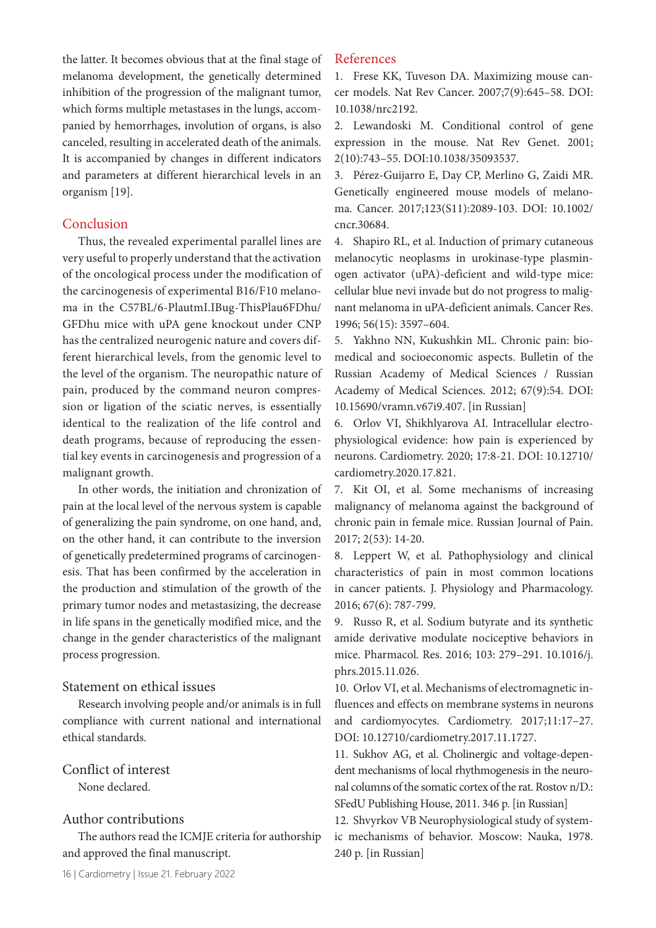the latter. It becomes obvious that at the final stage of melanoma development, the genetically determined inhibition of the progression of the malignant tumor, which forms multiple metastases in the lungs, accompanied by hemorrhages, involution of organs, is also canceled, resulting in accelerated death of the animals. It is accompanied by changes in different indicators and parameters at different hierarchical levels in an organism [19].

# Conclusion

Thus, the revealed experimental parallel lines are very useful to properly understand that the activation of the oncological process under the modification of the carcinogenesis of experimental B16/F10 melanoma in the C57BL/6-PlautmI.IBug-ThisPlau6FDhu/ GFDhu mice with uPA gene knockout under CNP has the centralized neurogenic nature and covers different hierarchical levels, from the genomic level to the level of the organism. The neuropathic nature of pain, produced by the command neuron compression or ligation of the sciatic nerves, is essentially identical to the realization of the life control and death programs, because of reproducing the essential key events in carcinogenesis and progression of a malignant growth.

In other words, the initiation and chronization of pain at the local level of the nervous system is capable of generalizing the pain syndrome, on one hand, and, on the other hand, it can contribute to the inversion of genetically predetermined programs of carcinogenesis. That has been confirmed by the acceleration in the production and stimulation of the growth of the primary tumor nodes and metastasizing, the decrease in life spans in the genetically modified mice, and the change in the gender characteristics of the malignant process progression.

# Statement on ethical issues

Research involving people and/or animals is in full compliance with current national and international ethical standards.

# Conflict of interest

None declared.

# Author contributions

The authors read the ICMJE criteria for authorship and approved the final manuscript.

## References

1. Frese KK, Tuveson DA. Maximizing mouse cancer models. Nat Rev Cancer. 2007;7(9):645–58. DOI: 10.1038/nrc2192.

2. Lewandoski M. Conditional control of gene expression in the mouse. Nat Rev Genet. 2001; 2(10):743–55. DOI:10.1038/35093537.

3. Pérez-Guijarro E, Day CP, Merlino G, Zaidi MR. Genetically engineered mouse models of melanoma. Cancer. 2017;123(S11):2089-103. DOI: 10.1002/ cncr.30684.

4. Shapiro RL, et al. Induction of primary cutaneous melanocytic neoplasms in urokinase-type plasminogen activator (uPA)-deficient and wild-type mice: cellular blue nevi invade but do not progress to malignant melanoma in uPA-deficient animals. Cancer Res. 1996; 56(15): 3597–604.

5. Yakhno NN, Kukushkin ML. Chronic pain: biomedical and socioeconomic aspects. Bulletin of the Russian Academy of Medical Sciences / Russian Academy of Medical Sciences. 2012; 67(9):54. DOI: 10.15690/vramn.v67i9.407. [in Russian]

6. Orlov VI, Shikhlyarova AI. Intracellular electrophysiological evidence: how pain is experienced by neurons. Cardiometry. 2020; 17:8-21. DOI: 10.12710/ cardiometry.2020.17.821.

7. Kit OI, et al. Some mechanisms of increasing malignancy of melanoma against the background of chronic pain in female mice. Russian Journal of Pain. 2017; 2(53): 14-20.

8. Leppert W, et al. Pathophysiology and clinical characteristics of pain in most common locations in cancer patients. J. Physiology and Pharmacology. 2016; 67(6): 787-799.

9. Russo R, et al. Sodium butyrate and its synthetic amide derivative modulate nociceptive behaviors in mice. Pharmacol. Res. 2016; 103: 279–291. 10.1016/j. phrs.2015.11.026.

10. Orlov VI, et al. Mechanisms of electromagnetic influences and effects on membrane systems in neurons and cardiomyocytes. Cardiometry. 2017;11:17–27. DOI: 10.12710/cardiometry.2017.11.1727.

11. Sukhov AG, et al. Cholinergic and voltage-dependent mechanisms of local rhythmogenesis in the neuronal columns of the somatic cortex of the rat. Rostov n/D.: SFedU Publishing House, 2011. 346 p. [in Russian]

12. Shvyrkov VB Neurophysiological study of systemic mechanisms of behavior. Moscow: Nauka, 1978. 240 p. [in Russian]